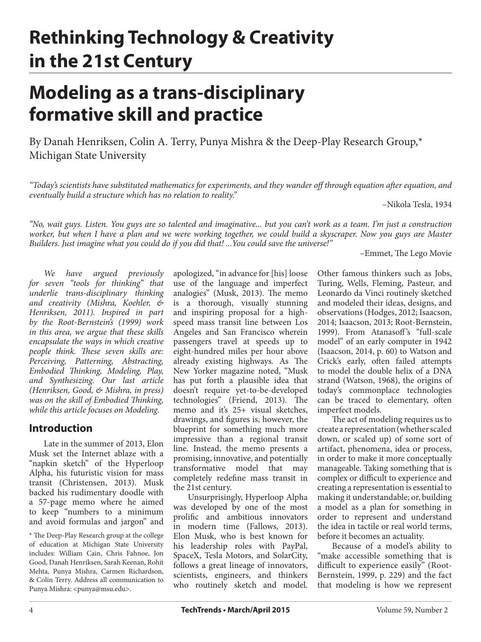# **Rethinking Technology & Creativity in the 21st Century**

## **Modeling as a trans-disciplinary formative skill and practice**

By Danah Henriksen, Colin A. Terry, Punya Mishra & the Deep-Play Research Group,\* Michigan State University

*"Today's scientists have substituted mathematics for experiments, and they wander o*! *through equation a*ft*er equation, and eventually build a structure which has no relation to reality."*

–Nikola Tesla, 1934

*"No, wait guys. Listen. You guys are so talented and imaginative... but you can't work as a team. I'm just a construction worker, but when I have a plan and we were working together, we could build a skyscraper. Now you guys are Master Builders. Just imagine what you could do if you did that! ...You could save the universe!"*

–Emmet, The Lego Movie

*We have argued previously for seven "tools for thinking" that underlie trans-disciplinary thinking and creativity (Mishra, Koehler, & Henriksen, 2011). Inspired in part by the Root-Bernstein's (1999) work in this area, we argue that these skills encapsulate the ways in which creative people think.* Th*ese seven skills are: Perceiving, Patterning, Abstracting, Embodied* Th*inking, Modeling, Play, and Synthesizing. Our last article (Henriksen, Good, & Mishra, in press) was on the skill of Embodied* Th*inking, while this article focuses on Modeling.* 

#### **Introduction**

Late in the summer of 2013, Elon Musk set the Internet ablaze with a "napkin sketch" of the Hyperloop Alpha, his futuristic vision for mass transit (Christensen, 2013). Musk backed his rudimentary doodle with a 57-page memo where he aimed to keep "numbers to a minimum and avoid formulas and jargon" and

\* The Deep-Play Research group at the college of education at Michigan State University includes: William Cain, Chris Fahnoe, Jon Good, Danah Henriksen, Sarah Keenan, Rohit Mehta, Punya Mishra, Carmen Richardson, & Colin Terry. Address all communication to Punya Mishra: <punya@msu.edu>.

apologized, "in advance for [his] loose use of the language and imperfect analogies" (Musk, 2013). The memo is a thorough, visually stunning and inspiring proposal for a highspeed mass transit line between Los Angeles and San Francisco wherein passengers travel at speeds up to eight-hundred miles per hour above already existing highways. As The New Yorker magazine noted, "Musk has put forth a plausible idea that doesn't require yet-to-be-developed technologies" (Friend, 2013). The memo and it's 25+ visual sketches, drawings, and figures is, however, the blueprint for something much more impressive than a regional transit line. Instead, the memo presents a promising, innovative, and potentially transformative model that may completely redefine mass transit in the 21st century.

Unsurprisingly, Hyperloop Alpha was developed by one of the most prolific and ambitious innovators in modern time (Fallows, 2013). Elon Musk, who is best known for his leadership roles with PayPal, SpaceX, Tesla Motors, and SolarCity, follows a great lineage of innovators, scientists, engineers, and thinkers who routinely sketch and model.

Other famous thinkers such as Jobs, Turing, Wells, Fleming, Pasteur, and Leonardo da Vinci routinely sketched and modeled their ideas, designs, and observations (Hodges, 2012; Isaacson, 2014; Isaacson, 2013; Root-Bernstein, 1999). From Atanasoff's "full-scale model" of an early computer in 1942 (Isaacson, 2014, p. 60) to Watson and Crick's early, often failed attempts to model the double helix of a DNA strand (Watson, 1968), the origins of today's commonplace technologies can be traced to elementary, often imperfect models.

The act of modeling requires us to create a representation (whether scaled down, or scaled up) of some sort of artifact, phenomena, idea or process, in order to make it more conceptually manageable. Taking something that is complex or difficult to experience and creating a representation is essential to making it understandable; or, building a model as a plan for something in order to represent and understand the idea in tactile or real world terms, before it becomes an actuality.

Because of a model's ability to "make accessible something that is difficult to experience easily" (Root-Bernstein, 1999, p. 229) and the fact that modeling is how we represent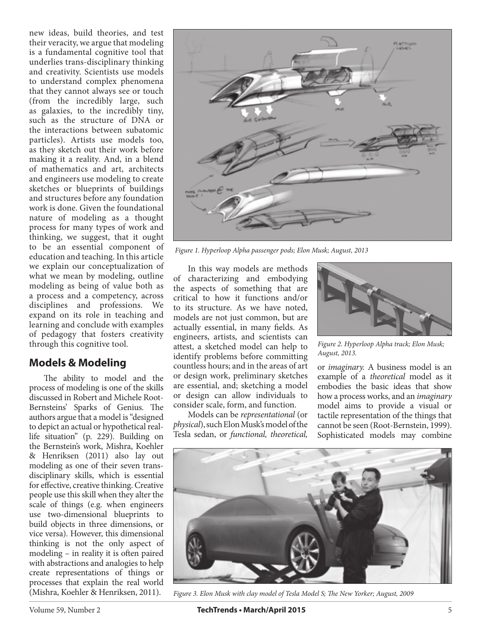new ideas, build theories, and test their veracity, we argue that modeling is a fundamental cognitive tool that underlies trans-disciplinary thinking and creativity. Scientists use models to understand complex phenomena that they cannot always see or touch (from the incredibly large, such as galaxies, to the incredibly tiny, such as the structure of DNA or the interactions between subatomic particles). Artists use models too, as they sketch out their work before making it a reality. And, in a blend of mathematics and art, architects and engineers use modeling to create sketches or blueprints of buildings and structures before any foundation work is done. Given the foundational nature of modeling as a thought process for many types of work and thinking, we suggest, that it ought to be an essential component of education and teaching. In this article we explain our conceptualization of what we mean by modeling, outline modeling as being of value both as a process and a competency, across disciplines and professions. We expand on its role in teaching and learning and conclude with examples of pedagogy that fosters creativity through this cognitive tool.

#### **Models & Modeling**

The ability to model and the process of modeling is one of the skills discussed in Robert and Michele Root-Bernsteins' Sparks of Genius. The authors argue that a model is "designed to depict an actual or hypothetical reallife situation" (p. 229). Building on the Bernstein's work, Mishra, Koehler & Henriksen (2011) also lay out modeling as one of their seven transdisciplinary skills, which is essential for effective, creative thinking. Creative people use this skill when they alter the scale of things (e.g. when engineers use two-dimensional blueprints to build objects in three dimensions, or vice versa). However, this dimensional thinking is not the only aspect of modeling – in reality it is often paired with abstractions and analogies to help create representations of things or processes that explain the real world (Mishra, Koehler & Henriksen, 2011).



*Figure 1. Hyperloop Alpha passenger pods; Elon Musk; August, 2013*

In this way models are methods of characterizing and embodying the aspects of something that are critical to how it functions and/or to its structure. As we have noted, models are not just common, but are actually essential, in many fields. As engineers, artists, and scientists can attest, a sketched model can help to identify problems before committing countless hours; and in the areas of art or design work, preliminary sketches are essential, and; sketching a model or design can allow individuals to consider scale, form, and function.

Models can be *representational* (or *physical*), such Elon Musk's model of the Tesla sedan, or *functional, theoretical,* 



*Figure 2. Hyperloop Alpha track; Elon Musk; August, 2013.*

or *imaginary.* A business model is an example of a *theoretical* model as it embodies the basic ideas that show how a process works, and an *imaginary* model aims to provide a visual or tactile representation of the things that cannot be seen (Root-Bernstein, 1999). Sophisticated models may combine



*Figure 3. Elon Musk with clay model of Tesla Model S;* Th*e New Yorker; August, 2009*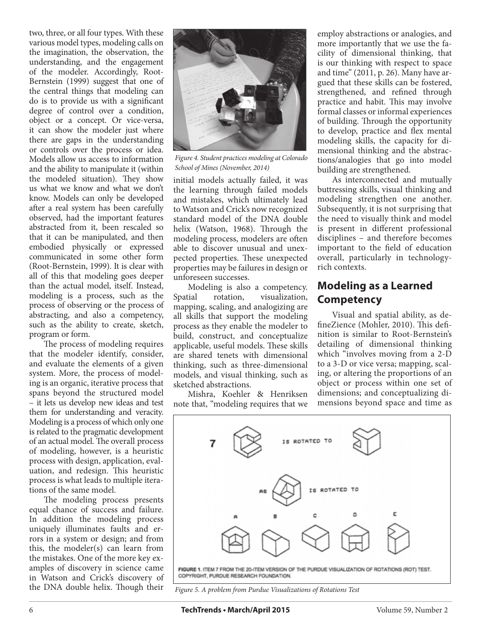two, three, or all four types. With these various model types, modeling calls on the imagination, the observation, the understanding, and the engagement of the modeler. Accordingly, Root-Bernstein (1999) suggest that one of the central things that modeling can do is to provide us with a significant degree of control over a condition, object or a concept. Or vice-versa, it can show the modeler just where there are gaps in the understanding or controls over the process or idea. Models allow us access to information and the ability to manipulate it (within the modeled situation). They show us what we know and what we don't know. Models can only be developed after a real system has been carefully observed, had the important features abstracted from it, been rescaled so that it can be manipulated, and then embodied physically or expressed communicated in some other form (Root-Bernstein, 1999). It is clear with all of this that modeling goes deeper than the actual model, itself. Instead, modeling is a process, such as the process of observing or the process of abstracting, and also a competency, such as the ability to create, sketch, program or form.

The process of modeling requires that the modeler identify, consider, and evaluate the elements of a given system. More, the process of modeling is an organic, iterative process that spans beyond the structured model – it lets us develop new ideas and test them for understanding and veracity. Modeling is a process of which only one is related to the pragmatic development of an actual model. The overall process of modeling, however, is a heuristic process with design, application, evaluation, and redesign. This heuristic process is what leads to multiple iterations of the same model.

The modeling process presents equal chance of success and failure. In addition the modeling process uniquely illuminates faults and errors in a system or design; and from this, the modeler(s) can learn from the mistakes. One of the more key examples of discovery in science came in Watson and Crick's discovery of the DNA double helix. Though their



*Figure 4. Student practices modeling at Colorado School of Mines (November, 2014)*

initial models actually failed, it was the learning through failed models and mistakes, which ultimately lead to Watson and Crick's now recognized standard model of the DNA double helix (Watson, 1968). Through the modeling process, modelers are often able to discover unusual and unexpected properties. These unexpected properties may be failures in design or unforeseen successes.

Modeling is also a competency. Spatial rotation, visualization, mapping, scaling, and analogizing are all skills that support the modeling process as they enable the modeler to build, construct, and conceptualize applicable, useful models. These skills are shared tenets with dimensional thinking, such as three-dimensional models, and visual thinking, such as sketched abstractions.

Mishra, Koehler & Henriksen note that, "modeling requires that we employ abstractions or analogies, and more importantly that we use the facility of dimensional thinking, that is our thinking with respect to space and time" (2011, p. 26). Many have argued that these skills can be fostered, strengthened, and refined through practice and habit. This may involve formal classes or informal experiences of building. Through the opportunity to develop, practice and flex mental modeling skills, the capacity for dimensional thinking and the abstractions/analogies that go into model building are strengthened.

As interconnected and mutually buttressing skills, visual thinking and modeling strengthen one another. Subsequently, it is not surprising that the need to visually think and model is present in different professional disciplines – and therefore becomes important to the field of education overall, particularly in technologyrich contexts.

### **Modeling as a Learned Competency**

Visual and spatial ability, as defineZience (Mohler, 2010). This definition is similar to Root-Bernstein's detailing of dimensional thinking which "involves moving from a 2-D to a 3-D or vice versa; mapping, scaling, or altering the proportions of an object or process within one set of dimensions; and conceptualizing dimensions beyond space and time as



*Figure 5. A problem from Purdue Visualizations of Rotations Test*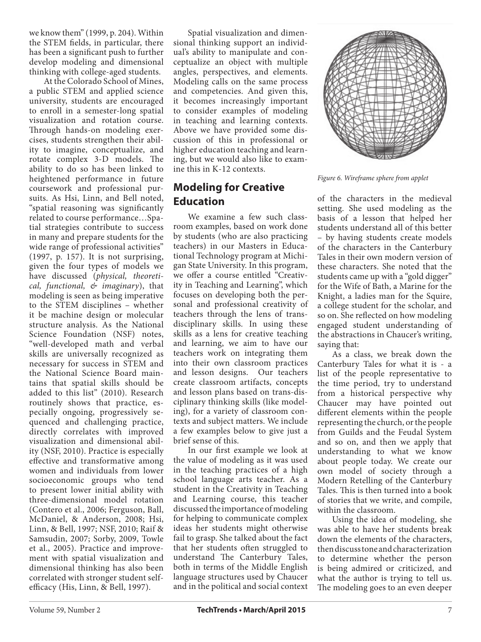we know them" (1999, p. 204). Within the STEM fields, in particular, there has been a significant push to further develop modeling and dimensional thinking with college-aged students.

At the Colorado School of Mines, a public STEM and applied science university, students are encouraged to enroll in a semester-long spatial visualization and rotation course. Through hands-on modeling exercises, students strengthen their ability to imagine, conceptualize, and rotate complex 3-D models. The ability to do so has been linked to heightened performance in future coursework and professional pursuits. As Hsi, Linn, and Bell noted, "spatial reasoning was significantly related to course performance…Spatial strategies contribute to success in many and prepare students for the wide range of professional activities" (1997, p. 157). It is not surprising, given the four types of models we have discussed (*physical, theoretical, functional, & imaginary*), that modeling is seen as being imperative to the STEM disciplines – whether it be machine design or molecular structure analysis. As the National Science Foundation (NSF) notes, "well-developed math and verbal skills are universally recognized as necessary for success in STEM and the National Science Board maintains that spatial skills should be added to this list" (2010). Research routinely shows that practice, especially ongoing, progressively sequenced and challenging practice, directly correlates with improved visualization and dimensional ability (NSF, 2010). Practice is especially effective and transformative among women and individuals from lower socioeconomic groups who tend to present lower initial ability with three-dimensional model rotation (Contero et al., 2006; Ferguson, Ball, McDaniel, & Anderson, 2008; Hsi, Linn, & Bell, 1997; NSF, 2010; Raif & Samsudin, 2007; Sorby, 2009, Towle et al., 2005). Practice and improvement with spatial visualization and dimensional thinking has also been correlated with stronger student selfefficacy (His, Linn, & Bell, 1997).

Spatial visualization and dimensional thinking support an individual's ability to manipulate and conceptualize an object with multiple angles, perspectives, and elements. Modeling calls on the same process and competencies. And given this, it becomes increasingly important to consider examples of modeling in teaching and learning contexts. Above we have provided some discussion of this in professional or higher education teaching and learning, but we would also like to examine this in K-12 contexts.

## **Modeling for Creative Education**

We examine a few such classroom examples, based on work done by students (who are also practicing teachers) in our Masters in Educational Technology program at Michigan State University. In this program, we offer a course entitled "Creativity in Teaching and Learning", which focuses on developing both the personal and professional creativity of teachers through the lens of transdisciplinary skills. In using these skills as a lens for creative teaching and learning, we aim to have our teachers work on integrating them into their own classroom practices and lesson designs. Our teachers create classroom artifacts, concepts and lesson plans based on trans-disciplinary thinking skills (like modeling), for a variety of classroom contexts and subject matters. We include a few examples below to give just a brief sense of this.

In our first example we look at the value of modeling as it was used in the teaching practices of a high school language arts teacher. As a student in the Creativity in Teaching and Learning course, this teacher discussed the importance of modeling for helping to communicate complex ideas her students might otherwise fail to grasp. She talked about the fact that her students often struggled to understand The Canterbury Tales, both in terms of the Middle English language structures used by Chaucer and in the political and social context



*Figure 6. Wireframe sphere from applet* 

of the characters in the medieval setting. She used modeling as the basis of a lesson that helped her students understand all of this better – by having students create models of the characters in the Canterbury Tales in their own modern version of these characters. She noted that the students came up with a "gold digger" for the Wife of Bath, a Marine for the Knight, a ladies man for the Squire, a college student for the scholar, and so on. She reflected on how modeling engaged student understanding of the abstractions in Chaucer's writing, saying that:

As a class, we break down the Canterbury Tales for what it is - a list of the people representative to the time period, try to understand from a historical perspective why Chaucer may have pointed out different elements within the people representing the church, or the people from Guilds and the Feudal System and so on, and then we apply that understanding to what we know about people today. We create our own model of society through a Modern Retelling of the Canterbury Tales. This is then turned into a book of stories that we write, and compile, within the classroom.

Using the idea of modeling, she was able to have her students break down the elements of the characters, then discuss tone and characterization to determine whether the person is being admired or criticized, and what the author is trying to tell us. The modeling goes to an even deeper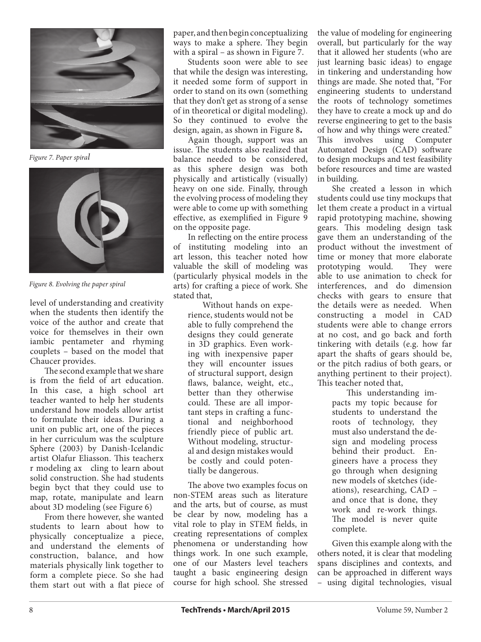

*Figure 7. Paper spiral*



*Figure 8. Evolving the paper spiral*

level of understanding and creativity when the students then identify the voice of the author and create that voice for themselves in their own iambic pentameter and rhyming couplets – based on the model that Chaucer provides.

The second example that we share is from the field of art education. In this case, a high school art teacher wanted to help her students understand how models allow artist to formulate their ideas. During a unit on public art, one of the pieces in her curriculum was the sculpture Sphere (2003) by Danish-Icelandic artist Olafur Eliasson. This teacherx r modeling ax cling to learn about solid construction. She had students begin byct that they could use to map, rotate, manipulate and learn about 3D modeling (see Figure 6)

From there however, she wanted students to learn about how to physically conceptualize a piece, and understand the elements of construction, balance, and how materials physically link together to form a complete piece. So she had them start out with a flat piece of

paper, and then begin conceptualizing ways to make a sphere. They begin with a spiral – as shown in Figure 7.

Students soon were able to see that while the design was interesting, it needed some form of support in order to stand on its own (something that they don't get as strong of a sense of in theoretical or digital modeling). So they continued to evolve the design, again, as shown in Figure 8

Again though, support was an issue. The students also realized that balance needed to be considered, as this sphere design was both physically and artistically (visually) heavy on one side. Finally, through the evolving process of modeling they were able to come up with something effective, as exemplified in Figure 9 on the opposite page.

In reflecting on the entire process of instituting modeling into an art lesson, this teacher noted how valuable the skill of modeling was (particularly physical models in the arts) for crafting a piece of work. She stated that,

Without hands on experience, students would not be able to fully comprehend the designs they could generate in 3D graphics. Even working with inexpensive paper they will encounter issues of structural support, design flaws, balance, weight, etc., better than they otherwise could. These are all important steps in crafting a functional and neighborhood friendly piece of public art. Without modeling, structural and design mistakes would be costly and could potentially be dangerous.

The above two examples focus on non-STEM areas such as literature and the arts, but of course, as must be clear by now, modeling has a vital role to play in STEM fields, in creating representations of complex phenomena or understanding how things work. In one such example, one of our Masters level teachers taught a basic engineering design course for high school. She stressed

the value of modeling for engineering overall, but particularly for the way that it allowed her students (who are just learning basic ideas) to engage in tinkering and understanding how things are made. She noted that, "For engineering students to understand the roots of technology sometimes they have to create a mock up and do reverse engineering to get to the basis of how and why things were created." This involves using Computer Automated Design (CAD) software to design mockups and test feasibility before resources and time are wasted in building.

She created a lesson in which students could use tiny mockups that let them create a product in a virtual rapid prototyping machine, showing gears. This modeling design task gave them an understanding of the product without the investment of time or money that more elaborate prototyping would. They were able to use animation to check for interferences, and do dimension checks with gears to ensure that the details were as needed. When constructing a model in CAD students were able to change errors at no cost, and go back and forth tinkering with details (e.g. how far apart the shafts of gears should be, or the pitch radius of both gears, or anything pertinent to their project). This teacher noted that,

This understanding impacts my topic because for students to understand the roots of technology, they must also understand the design and modeling process behind their product. Engineers have a process they go through when designing new models of sketches (ideations), researching, CAD – and once that is done, they work and re-work things. The model is never quite complete.

Given this example along with the others noted, it is clear that modeling spans disciplines and contexts, and can be approached in different ways using digital technologies, visual